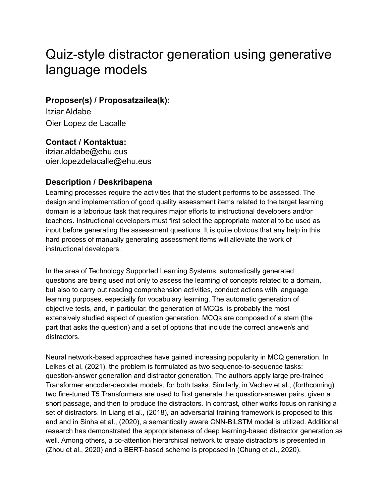# Quiz-style distractor generation using generative language models

### **Proposer(s) / Proposatzailea(k):**

Itziar Aldabe Oier Lopez de Lacalle

**Contact / Kontaktua:** [itziar.aldabe@ehu.eus](mailto:itziar.aldabe@ehu.eus) [oier.lopezdelacalle@ehu.eus](mailto:oier.lopezdelacalle@ehu.eus)

### **Description / Deskribapena**

Learning processes require the activities that the student performs to be assessed. The design and implementation of good quality assessment items related to the target learning domain is a laborious task that requires major efforts to instructional developers and/or teachers. Instructional developers must first select the appropriate material to be used as input before generating the assessment questions. It is quite obvious that any help in this hard process of manually generating assessment items will alleviate the work of instructional developers.

In the area of Technology Supported Learning Systems, automatically generated questions are being used not only to assess the learning of concepts related to a domain, but also to carry out reading comprehension activities, conduct actions with language learning purposes, especially for vocabulary learning. The automatic generation of objective tests, and, in particular, the generation of MCQs, is probably the most extensively studied aspect of question generation. MCQs are composed of a stem (the part that asks the question) and a set of options that include the correct answer/s and distractors.

Neural network-based approaches have gained increasing popularity in MCQ generation. In Lelkes et al, (2021), the problem is formulated as two sequence-to-sequence tasks: question-answer generation and distractor generation. The authors apply large pre-trained Transformer encoder-decoder models, for both tasks. Similarly, in Vachev et al., (forthcoming) two fine-tuned T5 Transformers are used to first generate the question-answer pairs, given a short passage, and then to produce the distractors. In contrast, other works focus on ranking a set of distractors. In Liang et al., (2018), an adversarial training framework is proposed to this end and in Sinha et al., (2020), a semantically aware CNN-BiLSTM model is utilized. Additional research has demonstrated the appropriateness of deep learning-based distractor generation as well. Among others, a co-attention hierarchical network to create distractors is presented in (Zhou et al., 2020) and a BERT-based scheme is proposed in (Chung et al., 2020).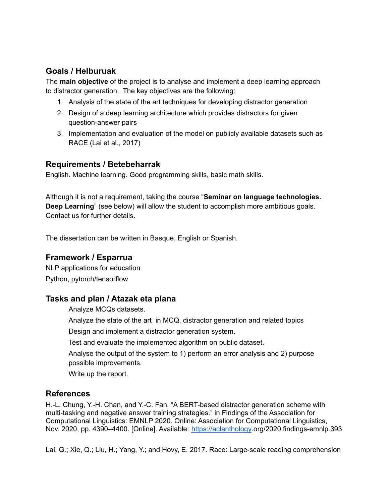# **Goals / Helburuak**

The **main objective** of the project is to analyse and implement a deep learning approach to distractor generation. The key objectives are the following:

- 1. Analysis of the state of the art techniques for developing distractor generation
- 2. Design of a deep learning architecture which provides distractors for given question-answer pairs
- 3. Implementation and evaluation of the model on publicly available datasets such as RACE (Lai et al., 2017)

#### **Requirements / Betebeharrak**

English. Machine learning. Good programming skills, basic math skills.

Although it is not a requirement, taking the course "**Seminar on language technologies. Deep Learning**" (see below) will allow the student to accomplish more ambitious goals. Contact us for further details.

The dissertation can be written in Basque, English or Spanish.

#### **Framework / Esparrua**

NLP applications for education Python, pytorch/tensorflow

#### **Tasks and plan / Atazak eta plana**

Analyze MCQs datasets.

Analyze the state of the art in MCQ, distractor generation and related topics

Design and implement a distractor generation system.

Test and evaluate the implemented algorithm on public dataset.

Analyse the output of the system to 1) perform an error analysis and 2) purpose possible improvements.

Write up the report.

#### **References**

H.-L. Chung, Y.-H. Chan, and Y.-C. Fan, "A BERT-based distractor generation scheme with multi-tasking and negative answer training strategies." in Findings of the Association for Computational Linguistics: EMNLP 2020. Online: Association for Computational Linguistics, Nov. 2020, pp. 4390–4400. [Online]. Available: <https://aclanthology>.org/2020.findings-emnlp.393

Lai, G.; Xie, Q.; Liu, H.; Yang, Y.; and Hovy, E. 2017. Race: Large-scale reading comprehension